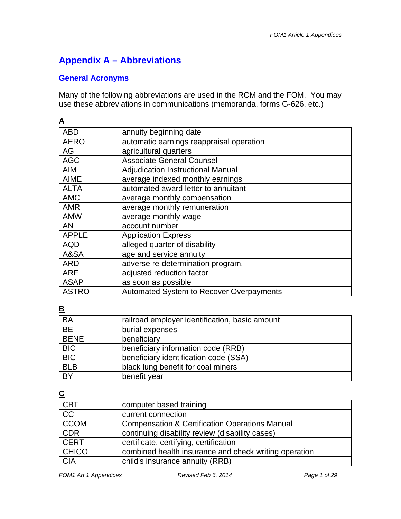# **Appendix A – Abbreviations**

#### **General Acronyms**

Many of the following abbreviations are used in the RCM and the FOM. You may use these abbreviations in communications (memoranda, forms G-626, etc.)

| <u>A</u>     |                                                 |
|--------------|-------------------------------------------------|
| <b>ABD</b>   | annuity beginning date                          |
| <b>AERO</b>  | automatic earnings reappraisal operation        |
| AG           | agricultural quarters                           |
| <b>AGC</b>   | <b>Associate General Counsel</b>                |
| <b>AIM</b>   | <b>Adjudication Instructional Manual</b>        |
| <b>AIME</b>  | average indexed monthly earnings                |
| <b>ALTA</b>  | automated award letter to annuitant             |
| <b>AMC</b>   | average monthly compensation                    |
| <b>AMR</b>   | average monthly remuneration                    |
| <b>AMW</b>   | average monthly wage                            |
| <b>AN</b>    | account number                                  |
| <b>APPLE</b> | <b>Application Express</b>                      |
| <b>AQD</b>   | alleged quarter of disability                   |
| A&SA         | age and service annuity                         |
| <b>ARD</b>   | adverse re-determination program.               |
| <b>ARF</b>   | adjusted reduction factor                       |
| <b>ASAP</b>  | as soon as possible                             |
| <b>ASTRO</b> | <b>Automated System to Recover Overpayments</b> |

#### **B**

| <b>BA</b>   | railroad employer identification, basic amount |
|-------------|------------------------------------------------|
| BE          | burial expenses                                |
| <b>BENE</b> | beneficiary                                    |
| <b>BIC</b>  | beneficiary information code (RRB)             |
| <b>BIC</b>  | beneficiary identification code (SSA)          |
| <b>BLB</b>  | black lung benefit for coal miners             |
| BY          | benefit year                                   |

## **C**

| <b>CBT</b>      | computer based training                                   |
|-----------------|-----------------------------------------------------------|
| $\overline{CC}$ | current connection                                        |
| <b>CCOM</b>     | <b>Compensation &amp; Certification Operations Manual</b> |
| <b>CDR</b>      | continuing disability review (disability cases)           |
| <b>CERT</b>     | certificate, certifying, certification                    |
| <b>CHICO</b>    | combined health insurance and check writing operation     |
| <b>CIA</b>      | child's insurance annuity (RRB)                           |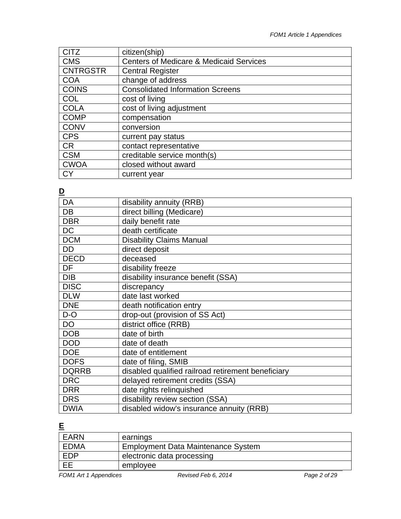| <b>CITZ</b>     | citizen(ship)                                      |
|-----------------|----------------------------------------------------|
| <b>CMS</b>      | <b>Centers of Medicare &amp; Medicaid Services</b> |
| <b>CNTRGSTR</b> | <b>Central Register</b>                            |
| <b>COA</b>      | change of address                                  |
| <b>COINS</b>    | <b>Consolidated Information Screens</b>            |
| <b>COL</b>      | cost of living                                     |
| <b>COLA</b>     | cost of living adjustment                          |
| <b>COMP</b>     | compensation                                       |
| <b>CONV</b>     | conversion                                         |
| <b>CPS</b>      | current pay status                                 |
| <b>CR</b>       | contact representative                             |
| <b>CSM</b>      | creditable service month(s)                        |
| <b>CWOA</b>     | closed without award                               |
| СY              | current year                                       |

# **D**

| DA           | disability annuity (RRB)                           |
|--------------|----------------------------------------------------|
| DB           | direct billing (Medicare)                          |
| <b>DBR</b>   | daily benefit rate                                 |
| <b>DC</b>    | death certificate                                  |
| <b>DCM</b>   | <b>Disability Claims Manual</b>                    |
| DD           | direct deposit                                     |
| <b>DECD</b>  | deceased                                           |
| DF           | disability freeze                                  |
| <b>DIB</b>   | disability insurance benefit (SSA)                 |
| <b>DISC</b>  | discrepancy                                        |
| <b>DLW</b>   | date last worked                                   |
| <b>DNE</b>   | death notification entry                           |
| D-O          | drop-out (provision of SS Act)                     |
| DO           | district office (RRB)                              |
| <b>DOB</b>   | date of birth                                      |
| <b>DOD</b>   | date of death                                      |
| <b>DOE</b>   | date of entitlement                                |
| <b>DOFS</b>  | date of filing, SMIB                               |
| <b>DQRRB</b> | disabled qualified railroad retirement beneficiary |
| <b>DRC</b>   | delayed retirement credits (SSA)                   |
| <b>DRR</b>   | date rights relinquished                           |
| <b>DRS</b>   | disability review section (SSA)                    |
| <b>DWIA</b>  | disabled widow's insurance annuity (RRB)           |

# **E**

| EARN       | earnings                                  |
|------------|-------------------------------------------|
| EDMA       | <b>Employment Data Maintenance System</b> |
| <b>EDP</b> | electronic data processing                |
| $F$ FF     | employee                                  |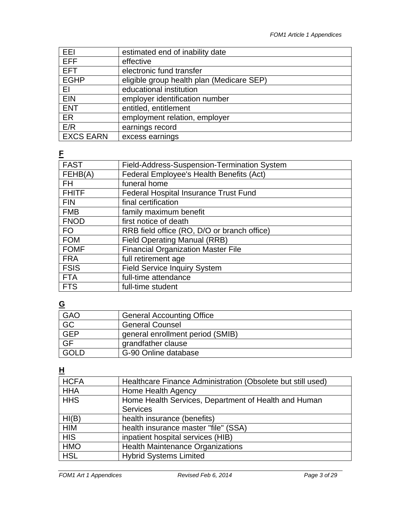| EEI              | estimated end of inability date           |
|------------------|-------------------------------------------|
| <b>EFF</b>       | effective                                 |
| <b>EFT</b>       | electronic fund transfer                  |
| <b>EGHP</b>      | eligible group health plan (Medicare SEP) |
| ΕI               | educational institution                   |
| <b>EIN</b>       | employer identification number            |
| <b>ENT</b>       | entitled, entitlement                     |
| ER               | employment relation, employer             |
| E/R              | earnings record                           |
| <b>EXCS EARN</b> | excess earnings                           |

**F** 

| <b>FAST</b>  | Field-Address-Suspension-Termination System  |
|--------------|----------------------------------------------|
| FEHB(A)      | Federal Employee's Health Benefits (Act)     |
| <b>FH</b>    | funeral home                                 |
| <b>FHITF</b> | <b>Federal Hospital Insurance Trust Fund</b> |
| <b>FIN</b>   | final certification                          |
| <b>FMB</b>   | family maximum benefit                       |
| <b>FNOD</b>  | first notice of death                        |
| <b>FO</b>    | RRB field office (RO, D/O or branch office)  |
| <b>FOM</b>   | <b>Field Operating Manual (RRB)</b>          |
| <b>FOMF</b>  | <b>Financial Organization Master File</b>    |
| <b>FRA</b>   | full retirement age                          |
| <b>FSIS</b>  | <b>Field Service Inquiry System</b>          |
| <b>FTA</b>   | full-time attendance                         |
| <b>FTS</b>   | full-time student                            |

**G** 

| <b>GAO</b>                | <b>General Accounting Office</b> |
|---------------------------|----------------------------------|
| $\overline{GC}$           | <b>General Counsel</b>           |
| <b>GEP</b>                | general enrollment period (SMIB) |
| $\overline{\mathsf{G}}$ F | grandfather clause               |
| <b>GOLD</b>               | G-90 Online database             |

**H** 

| <b>HCFA</b> | Healthcare Finance Administration (Obsolete but still used) |
|-------------|-------------------------------------------------------------|
| <b>HHA</b>  | Home Health Agency                                          |
| <b>HHS</b>  | Home Health Services, Department of Health and Human        |
|             | <b>Services</b>                                             |
| HI(B)       | health insurance (benefits)                                 |
| <b>HIM</b>  | health insurance master "file" (SSA)                        |
| <b>HIS</b>  | inpatient hospital services (HIB)                           |
| <b>HMO</b>  | <b>Health Maintenance Organizations</b>                     |
| <b>HSL</b>  | <b>Hybrid Systems Limited</b>                               |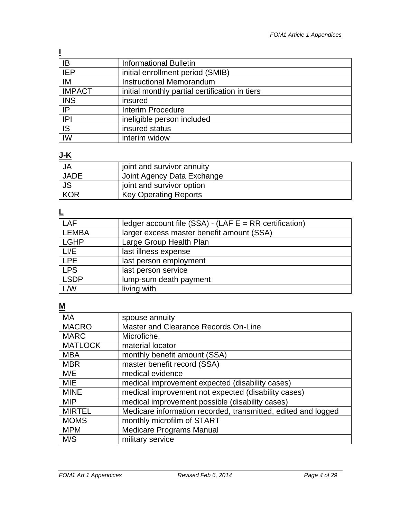| ΙB            | <b>Informational Bulletin</b>                  |
|---------------|------------------------------------------------|
| <b>IEP</b>    | initial enrollment period (SMIB)               |
| IM            | Instructional Memorandum                       |
| <b>IMPACT</b> | initial monthly partial certification in tiers |
| <b>INS</b>    | insured                                        |
| IP            | <b>Interim Procedure</b>                       |
| IPI           | ineligible person included                     |
| IS            | insured status                                 |
| IW            | interim widow                                  |

#### **J-K**

| <b>JA</b>   | joint and survivor annuity   |
|-------------|------------------------------|
| <b>JADE</b> | Joint Agency Data Exchange   |
| <b>JS</b>   | joint and survivor option    |
| <b>KOR</b>  | <b>Key Operating Reports</b> |

# **L**

| LAF         | ledger account file (SSA) - (LAF $E = RR$ certification) |
|-------------|----------------------------------------------------------|
| LEMBA       | larger excess master benefit amount (SSA)                |
| <b>LGHP</b> | Large Group Health Plan                                  |
| LI/E        | last illness expense                                     |
| <b>LPE</b>  | last person employment                                   |
| <b>LPS</b>  | last person service                                      |
| <b>LSDP</b> | lump-sum death payment                                   |
| L/W         | living with                                              |

# **M**

| <b>MA</b>      | spouse annuity                                                |
|----------------|---------------------------------------------------------------|
| <b>MACRO</b>   | Master and Clearance Records On-Line                          |
| <b>MARC</b>    | Microfiche,                                                   |
| <b>MATLOCK</b> | material locator                                              |
| <b>MBA</b>     | monthly benefit amount (SSA)                                  |
| <b>MBR</b>     | master benefit record (SSA)                                   |
| M/E            | medical evidence                                              |
| <b>MIE</b>     | medical improvement expected (disability cases)               |
| <b>MINE</b>    | medical improvement not expected (disability cases)           |
| <b>MIP</b>     | medical improvement possible (disability cases)               |
| <b>MIRTEL</b>  | Medicare information recorded, transmitted, edited and logged |
| <b>MOMS</b>    | monthly microfilm of START                                    |
| <b>MPM</b>     | <b>Medicare Programs Manual</b>                               |
| M/S            | military service                                              |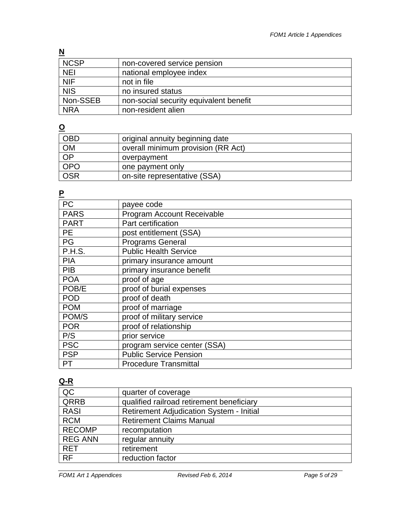# **N**

| <b>NCSP</b> | non-covered service pension            |
|-------------|----------------------------------------|
| <b>NEI</b>  | national employee index                |
| NIF         | not in file                            |
| NIS         | no insured status                      |
| Non-SSEB    | non-social security equivalent benefit |
| <b>NRA</b>  | non-resident alien                     |

# **O**

| <b>OBD</b>      | original annuity beginning date    |
|-----------------|------------------------------------|
| <b>OM</b>       | overall minimum provision (RR Act) |
| $\overline{OP}$ | overpayment                        |
| <b>OPO</b>      | one payment only                   |
| <b>OSR</b>      | on-site representative (SSA)       |

# **P**

| payee code                    |
|-------------------------------|
| Program Account Receivable    |
| Part certification            |
| post entitlement (SSA)        |
| <b>Programs General</b>       |
| <b>Public Health Service</b>  |
| primary insurance amount      |
| primary insurance benefit     |
| proof of age                  |
| proof of burial expenses      |
| proof of death                |
| proof of marriage             |
| proof of military service     |
| proof of relationship         |
| prior service                 |
| program service center (SSA)  |
| <b>Public Service Pension</b> |
| <b>Procedure Transmittal</b>  |
|                               |

# **Q-R**

| QC             | quarter of coverage                             |
|----------------|-------------------------------------------------|
| QRRB           | qualified railroad retirement beneficiary       |
| <b>RASI</b>    | <b>Retirement Adjudication System - Initial</b> |
| <b>RCM</b>     | <b>Retirement Claims Manual</b>                 |
| <b>RECOMP</b>  | recomputation                                   |
| <b>REG ANN</b> | regular annuity                                 |
| <b>RET</b>     | retirement                                      |
| RF             | reduction factor                                |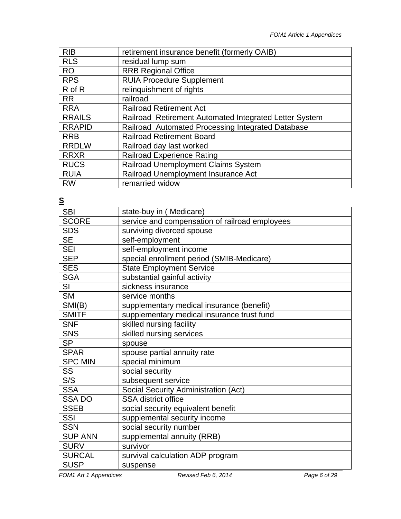| <b>RIB</b>    | retirement insurance benefit (formerly OAIB)           |
|---------------|--------------------------------------------------------|
| <b>RLS</b>    | residual lump sum                                      |
| <b>RO</b>     | <b>RRB Regional Office</b>                             |
| <b>RPS</b>    | <b>RUIA Procedure Supplement</b>                       |
| R of R        | relinguishment of rights                               |
| <b>RR</b>     | railroad                                               |
| <b>RRA</b>    | <b>Railroad Retirement Act</b>                         |
| <b>RRAILS</b> | Railroad Retirement Automated Integrated Letter System |
| <b>RRAPID</b> | Railroad Automated Processing Integrated Database      |
| <b>RRB</b>    | <b>Railroad Retirement Board</b>                       |
| <b>RRDLW</b>  | Railroad day last worked                               |
| <b>RRXR</b>   | <b>Railroad Experience Rating</b>                      |
| <b>RUCS</b>   | Railroad Unemployment Claims System                    |
| <b>RUIA</b>   | Railroad Unemployment Insurance Act                    |
| <b>RW</b>     | remarried widow                                        |

**S** 

| state-buy in (Medicare)                        |
|------------------------------------------------|
| service and compensation of railroad employees |
| surviving divorced spouse                      |
| self-employment                                |
| self-employment income                         |
| special enrollment period (SMIB-Medicare)      |
| <b>State Employment Service</b>                |
| substantial gainful activity                   |
| sickness insurance                             |
| service months                                 |
| supplementary medical insurance (benefit)      |
| supplementary medical insurance trust fund     |
| skilled nursing facility                       |
| skilled nursing services                       |
| spouse                                         |
| spouse partial annuity rate                    |
| special minimum                                |
| social security                                |
| subsequent service                             |
| Social Security Administration (Act)           |
| <b>SSA</b> district office                     |
| social security equivalent benefit             |
| supplemental security income                   |
| social security number                         |
| supplemental annuity (RRB)                     |
| survivor                                       |
| survival calculation ADP program               |
| suspense                                       |
|                                                |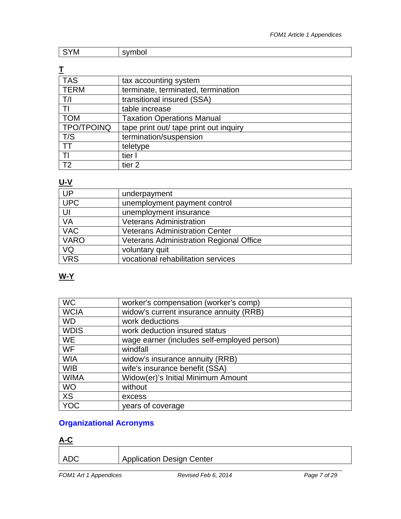| <b>IVI</b> |  |
|------------|--|
|            |  |

# **T**

| <b>TAS</b>        | tax accounting system                  |
|-------------------|----------------------------------------|
| <b>TERM</b>       | terminate, terminated, termination     |
| T/I               | transitional insured (SSA)             |
| TI                | table increase                         |
| <b>TOM</b>        | <b>Taxation Operations Manual</b>      |
| <b>TPO/TPOINQ</b> | tape print out/ tape print out inquiry |
| T/S               | termination/suspension                 |
| <b>TT</b>         | teletype                               |
| TI                | tier I                                 |
| T <sub>2</sub>    | tier <sub>2</sub>                      |

# **U-V**

| <b>UP</b>   | underpayment                                   |
|-------------|------------------------------------------------|
| <b>UPC</b>  | unemployment payment control                   |
| UI          | unemployment insurance                         |
| VA          | <b>Veterans Administration</b>                 |
| <b>VAC</b>  | <b>Veterans Administration Center</b>          |
| <b>VARO</b> | <b>Veterans Administration Regional Office</b> |
| VQ          | voluntary quit                                 |
| <b>VRS</b>  | vocational rehabilitation services             |

# **W-Y**

| <b>WC</b>   | worker's compensation (worker's comp)       |
|-------------|---------------------------------------------|
| <b>WCIA</b> | widow's current insurance annuity (RRB)     |
| <b>WD</b>   | work deductions                             |
| <b>WDIS</b> | work deduction insured status               |
| <b>WE</b>   | wage earner (includes self-employed person) |
| <b>WF</b>   | windfall                                    |
| <b>WIA</b>  | widow's insurance annuity (RRB)             |
| <b>WIB</b>  | wife's insurance benefit (SSA)              |
| <b>WIMA</b> | Widow(er)'s Initial Minimum Amount          |
| <b>WO</b>   | without                                     |
| <b>XS</b>   | excess                                      |
| <b>YOC</b>  | years of coverage                           |

# **Organizational Acronyms**

#### **A-C**

| ADC | Application Design Center |
|-----|---------------------------|
|     |                           |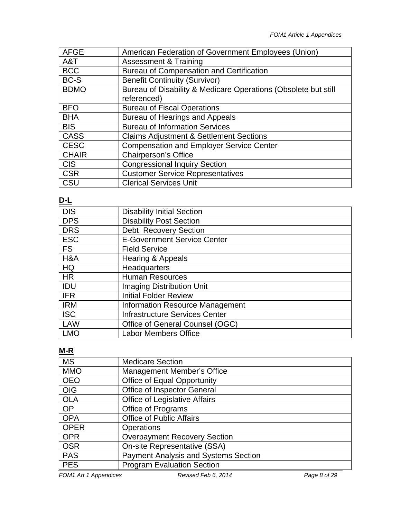| <b>AFGE</b>  | American Federation of Government Employees (Union)            |
|--------------|----------------------------------------------------------------|
| A&T          | <b>Assessment &amp; Training</b>                               |
| <b>BCC</b>   | <b>Bureau of Compensation and Certification</b>                |
| BC-S         | <b>Benefit Continuity (Survivor)</b>                           |
| <b>BDMO</b>  | Bureau of Disability & Medicare Operations (Obsolete but still |
|              | referenced)                                                    |
| <b>BFO</b>   | <b>Bureau of Fiscal Operations</b>                             |
| <b>BHA</b>   | <b>Bureau of Hearings and Appeals</b>                          |
| <b>BIS</b>   | <b>Bureau of Information Services</b>                          |
| <b>CASS</b>  | <b>Claims Adjustment &amp; Settlement Sections</b>             |
| <b>CESC</b>  | <b>Compensation and Employer Service Center</b>                |
| <b>CHAIR</b> | <b>Chairperson's Office</b>                                    |
| <b>CIS</b>   | <b>Congressional Inquiry Section</b>                           |
| <b>CSR</b>   | <b>Customer Service Representatives</b>                        |
| CSU          | <b>Clerical Services Unit</b>                                  |

#### **D-L**

| <b>DIS</b> | <b>Disability Initial Section</b>      |
|------------|----------------------------------------|
| <b>DPS</b> | <b>Disability Post Section</b>         |
| <b>DRS</b> | <b>Debt Recovery Section</b>           |
| <b>ESC</b> | <b>E-Government Service Center</b>     |
| <b>FS</b>  | <b>Field Service</b>                   |
| H&A        | Hearing & Appeals                      |
| HQ         | Headquarters                           |
| <b>HR</b>  | <b>Human Resources</b>                 |
| IDU        | <b>Imaging Distribution Unit</b>       |
| <b>IFR</b> | <b>Initial Folder Review</b>           |
| <b>IRM</b> | <b>Information Resource Management</b> |
| <b>ISC</b> | <b>Infrastructure Services Center</b>  |
| LAW        | Office of General Counsel (OGC)        |
| <b>LMO</b> | <b>Labor Members Office</b>            |

## **M-R**

| <b>MS</b>   | <b>Medicare Section</b>                     |
|-------------|---------------------------------------------|
| <b>MMO</b>  | Management Member's Office                  |
| <b>OEO</b>  | <b>Office of Equal Opportunity</b>          |
| <b>OIG</b>  | Office of Inspector General                 |
| <b>OLA</b>  | <b>Office of Legislative Affairs</b>        |
| <b>OP</b>   | Office of Programs                          |
| <b>OPA</b>  | <b>Office of Public Affairs</b>             |
| <b>OPER</b> | <b>Operations</b>                           |
| <b>OPR</b>  | <b>Overpayment Recovery Section</b>         |
| <b>OSR</b>  | On-site Representative (SSA)                |
| <b>PAS</b>  | <b>Payment Analysis and Systems Section</b> |
| <b>PES</b>  | <b>Program Evaluation Section</b>           |
|             |                                             |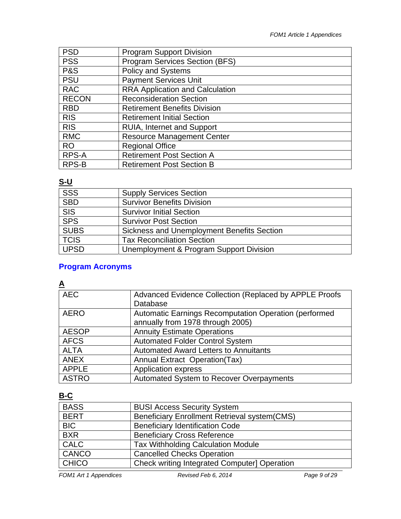| <b>PSD</b>     | <b>Program Support Division</b>        |
|----------------|----------------------------------------|
| <b>PSS</b>     | <b>Program Services Section (BFS)</b>  |
| <b>P&amp;S</b> | <b>Policy and Systems</b>              |
| <b>PSU</b>     | <b>Payment Services Unit</b>           |
| <b>RAC</b>     | <b>RRA Application and Calculation</b> |
| <b>RECON</b>   | <b>Reconsideration Section</b>         |
| <b>RBD</b>     | <b>Retirement Benefits Division</b>    |
| <b>RIS</b>     | <b>Retirement Initial Section</b>      |
| <b>RIS</b>     | <b>RUIA, Internet and Support</b>      |
| <b>RMC</b>     | <b>Resource Management Center</b>      |
| <b>RO</b>      | <b>Regional Office</b>                 |
| RPS-A          | <b>Retirement Post Section A</b>       |
| RPS-B          | <b>Retirement Post Section B</b>       |

## **S-U**

| SSS<br><b>Supply Services Section</b><br><b>SBD</b><br><b>Survivor Benefits Division</b><br><b>SIS</b><br><b>Survivor Initial Section</b> |
|-------------------------------------------------------------------------------------------------------------------------------------------|
|                                                                                                                                           |
|                                                                                                                                           |
|                                                                                                                                           |
| SPS<br><b>Survivor Post Section</b>                                                                                                       |
| <b>SUBS</b><br>Sickness and Unemployment Benefits Section                                                                                 |
| <b>TCIS</b><br><b>Tax Reconciliation Section</b>                                                                                          |
| <b>UPSD</b><br>Unemployment & Program Support Division                                                                                    |

# Program Acronyms<br><u>A</u>

| <b>AEC</b>   | Advanced Evidence Collection (Replaced by APPLE Proofs<br>Database                        |
|--------------|-------------------------------------------------------------------------------------------|
| <b>AERO</b>  | Automatic Earnings Recomputation Operation (performed<br>annually from 1978 through 2005) |
| <b>AESOP</b> | <b>Annuity Estimate Operations</b>                                                        |
| <b>AFCS</b>  | <b>Automated Folder Control System</b>                                                    |
| <b>ALTA</b>  | <b>Automated Award Letters to Annuitants</b>                                              |
| <b>ANEX</b>  | Annual Extract Operation(Tax)                                                             |
| <b>APPLE</b> | <b>Application express</b>                                                                |
| <b>ASTRO</b> | Automated System to Recover Overpayments                                                  |

## **B-C**

| <b>BASS</b>  | <b>BUSI Access Security System</b>                   |
|--------------|------------------------------------------------------|
| <b>BERT</b>  | <b>Beneficiary Enrollment Retrieval system (CMS)</b> |
| <b>BIC</b>   | <b>Beneficiary Identification Code</b>               |
| <b>BXR</b>   | <b>Beneficiary Cross Reference</b>                   |
| <b>CALC</b>  | <b>Tax Withholding Calculation Module</b>            |
| CANCO        | <b>Cancelled Checks Operation</b>                    |
| <b>CHICO</b> | <b>Check writing Integrated Computer] Operation</b>  |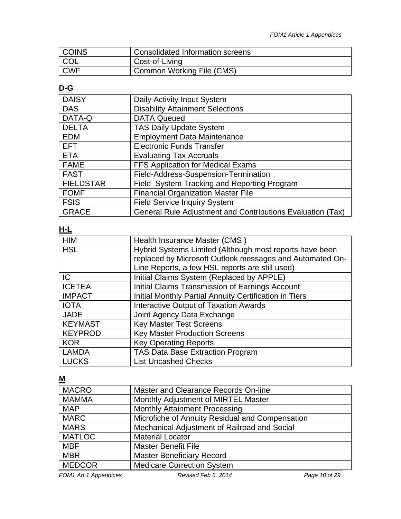| <b>COINS</b> | Consolidated Information screens |
|--------------|----------------------------------|
| <b>COL</b>   | Cost-of-Living                   |
| <b>CWF</b>   | Common Working File (CMS)        |

## **D-G**

| <b>DAISY</b>     | Daily Activity Input System                                |
|------------------|------------------------------------------------------------|
| <b>DAS</b>       | <b>Disability Attainment Selections</b>                    |
| DATA-Q           | <b>DATA Queued</b>                                         |
| <b>DELTA</b>     | <b>TAS Daily Update System</b>                             |
| <b>EDM</b>       | <b>Employment Data Maintenance</b>                         |
| <b>EFT</b>       | <b>Electronic Funds Transfer</b>                           |
| <b>ETA</b>       | <b>Evaluating Tax Accruals</b>                             |
| <b>FAME</b>      | FFS Application for Medical Exams                          |
| <b>FAST</b>      | Field-Address-Suspension-Termination                       |
| <b>FIELDSTAR</b> | Field System Tracking and Reporting Program                |
| <b>FOMF</b>      | <b>Financial Organization Master File</b>                  |
| <b>FSIS</b>      | <b>Field Service Inquiry System</b>                        |
| <b>GRACE</b>     | General Rule Adjustment and Contributions Evaluation (Tax) |

#### **H-L**

| <b>HIM</b>     | Health Insurance Master (CMS)                            |
|----------------|----------------------------------------------------------|
| <b>HSL</b>     | Hybrid Systems Limited (Although most reports have been  |
|                | replaced by Microsoft Outlook messages and Automated On- |
|                | Line Reports, a few HSL reports are still used)          |
| IC             | Initial Claims System (Replaced by APPLE)                |
| <b>ICETEA</b>  | Initial Claims Transmission of Earnings Account          |
| <b>IMPACT</b>  | Initial Monthly Partial Annuity Certification in Tiers   |
| <b>IOTA</b>    | Interactive Output of Taxation Awards                    |
| <b>JADE</b>    | Joint Agency Data Exchange                               |
| <b>KEYMAST</b> | <b>Key Master Test Screens</b>                           |
| <b>KEYPROD</b> | <b>Key Master Production Screens</b>                     |
| <b>KOR</b>     | <b>Key Operating Reports</b>                             |
| <b>LAMDA</b>   | TAS Data Base Extraction Program                         |
| <b>LUCKS</b>   | <b>List Uncashed Checks</b>                              |

#### **M**

| <b>MACRO</b>  | Master and Clearance Records On-line            |
|---------------|-------------------------------------------------|
| <b>MAMMA</b>  | Monthly Adjustment of MIRTEL Master             |
| <b>MAP</b>    | <b>Monthly Attainment Processing</b>            |
| <b>MARC</b>   | Microfiche of Annuity Residual and Compensation |
| <b>MARS</b>   | Mechanical Adjustment of Railroad and Social    |
| <b>MATLOC</b> | <b>Material Locator</b>                         |
| <b>MBF</b>    | <b>Master Benefit File</b>                      |
| <b>MBR</b>    | <b>Master Beneficiary Record</b>                |
| <b>MEDCOR</b> | <b>Medicare Correction System</b>               |
|               |                                                 |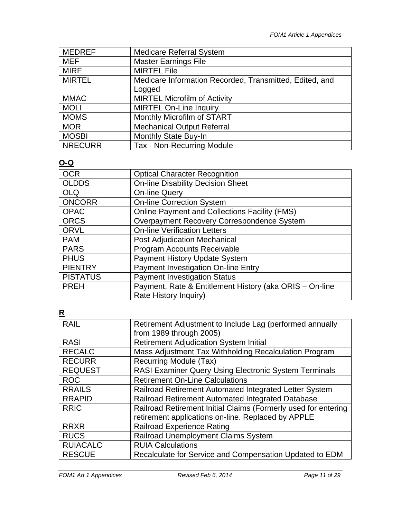| <b>MEDREF</b>  | <b>Medicare Referral System</b>                         |
|----------------|---------------------------------------------------------|
| MEF            | <b>Master Earnings File</b>                             |
| <b>MIRF</b>    | <b>MIRTEL File</b>                                      |
| <b>MIRTEL</b>  | Medicare Information Recorded, Transmitted, Edited, and |
|                | Logged                                                  |
| <b>MMAC</b>    | <b>MIRTEL Microfilm of Activity</b>                     |
| <b>MOLI</b>    | <b>MIRTEL On-Line Inquiry</b>                           |
| <b>MOMS</b>    | Monthly Microfilm of START                              |
| <b>MOR</b>     | <b>Mechanical Output Referral</b>                       |
| <b>MOSBI</b>   | Monthly State Buy-In                                    |
| <b>NRECURR</b> | Tax - Non-Recurring Module                              |

#### **O-Q**

| <b>OCR</b>      | <b>Optical Character Recognition</b>                    |
|-----------------|---------------------------------------------------------|
| <b>OLDDS</b>    | <b>On-line Disability Decision Sheet</b>                |
| <b>OLQ</b>      | <b>On-line Query</b>                                    |
| <b>ONCORR</b>   | <b>On-line Correction System</b>                        |
| <b>OPAC</b>     | <b>Online Payment and Collections Facility (FMS)</b>    |
| <b>ORCS</b>     | Overpayment Recovery Correspondence System              |
| <b>ORVL</b>     | <b>On-line Verification Letters</b>                     |
| <b>PAM</b>      | <b>Post Adjudication Mechanical</b>                     |
| <b>PARS</b>     | Program Accounts Receivable                             |
| <b>PHUS</b>     | <b>Payment History Update System</b>                    |
| <b>PIENTRY</b>  | Payment Investigation On-line Entry                     |
| <b>PISTATUS</b> | <b>Payment Investigation Status</b>                     |
| <b>PREH</b>     | Payment, Rate & Entitlement History (aka ORIS - On-line |
|                 | Rate History Inquiry)                                   |
|                 |                                                         |

# **R**

| <b>RAIL</b>     | Retirement Adjustment to Include Lag (performed annually<br>from 1989 through 2005) |  |
|-----------------|-------------------------------------------------------------------------------------|--|
| <b>RASI</b>     |                                                                                     |  |
|                 | <b>Retirement Adjudication System Initial</b>                                       |  |
| <b>RECALC</b>   | Mass Adjustment Tax Withholding Recalculation Program                               |  |
| <b>RECURR</b>   | Recurring Module (Tax)                                                              |  |
| <b>REQUEST</b>  | RASI Examiner Query Using Electronic System Terminals                               |  |
| <b>ROC</b>      | <b>Retirement On-Line Calculations</b>                                              |  |
| <b>RRAILS</b>   | Railroad Retirement Automated Integrated Letter System                              |  |
| <b>RRAPID</b>   | Railroad Retirement Automated Integrated Database                                   |  |
| <b>RRIC</b>     | Railroad Retirement Initial Claims (Formerly used for entering                      |  |
|                 | retirement applications on-line. Replaced by APPLE                                  |  |
| <b>RRXR</b>     | <b>Railroad Experience Rating</b>                                                   |  |
| <b>RUCS</b>     | Railroad Unemployment Claims System                                                 |  |
| <b>RUIACALC</b> | <b>RUIA Calculations</b>                                                            |  |
| <b>RESCUE</b>   | Recalculate for Service and Compensation Updated to EDM                             |  |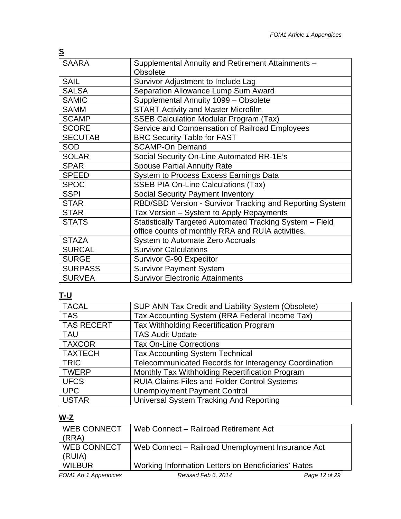| <u>s</u>       |                                                          |  |
|----------------|----------------------------------------------------------|--|
| <b>SAARA</b>   | Supplemental Annuity and Retirement Attainments -        |  |
|                | <b>Obsolete</b>                                          |  |
| <b>SAIL</b>    | Survivor Adjustment to Include Lag                       |  |
| <b>SALSA</b>   | Separation Allowance Lump Sum Award                      |  |
| <b>SAMIC</b>   | Supplemental Annuity 1099 - Obsolete                     |  |
| <b>SAMM</b>    | <b>START Activity and Master Microfilm</b>               |  |
| <b>SCAMP</b>   | <b>SSEB Calculation Modular Program (Tax)</b>            |  |
| <b>SCORE</b>   | Service and Compensation of Railroad Employees           |  |
| <b>SECUTAB</b> | <b>BRC Security Table for FAST</b>                       |  |
| <b>SOD</b>     | <b>SCAMP-On Demand</b>                                   |  |
| <b>SOLAR</b>   | Social Security On-Line Automated RR-1E's                |  |
| <b>SPAR</b>    | <b>Spouse Partial Annuity Rate</b>                       |  |
| <b>SPEED</b>   | System to Process Excess Earnings Data                   |  |
| <b>SPOC</b>    | <b>SSEB PIA On-Line Calculations (Tax)</b>               |  |
| <b>SSPI</b>    | Social Security Payment Inventory                        |  |
| <b>STAR</b>    | RBD/SBD Version - Survivor Tracking and Reporting System |  |
| <b>STAR</b>    | Tax Version - System to Apply Repayments                 |  |
| <b>STATS</b>   | Statistically Targeted Automated Tracking System - Field |  |
|                | office counts of monthly RRA and RUIA activities.        |  |
| <b>STAZA</b>   | <b>System to Automate Zero Accruals</b>                  |  |
| <b>SURCAL</b>  | <b>Survivor Calculations</b>                             |  |
| <b>SURGE</b>   | <b>Survivor G-90 Expeditor</b>                           |  |
| <b>SURPASS</b> | <b>Survivor Payment System</b>                           |  |
| <b>SURVEA</b>  | <b>Survivor Electronic Attainments</b>                   |  |

# **T-U**

| <b>TACAL</b>      | SUP ANN Tax Credit and Liability System (Obsolete)    |
|-------------------|-------------------------------------------------------|
| <b>TAS</b>        | Tax Accounting System (RRA Federal Income Tax)        |
| <b>TAS RECERT</b> | Tax Withholding Recertification Program               |
| <b>TAU</b>        | <b>TAS Audit Update</b>                               |
| <b>TAXCOR</b>     | <b>Tax On-Line Corrections</b>                        |
| <b>TAXTECH</b>    | <b>Tax Accounting System Technical</b>                |
| <b>TRIC</b>       | Telecommunicated Records for Interagency Coordination |
| <b>TWERP</b>      | Monthly Tax Withholding Recertification Program       |
| <b>UFCS</b>       | <b>RUIA Claims Files and Folder Control Systems</b>   |
| <b>UPC</b>        | <b>Unemployment Payment Control</b>                   |
| <b>USTAR</b>      | Universal System Tracking And Reporting               |

# **W-Z**

| <b>WEB CONNECT</b>    | Web Connect - Railroad Retirement Act               |               |
|-----------------------|-----------------------------------------------------|---------------|
| (RRA)                 |                                                     |               |
| <b>WEB CONNECT</b>    | Web Connect – Railroad Unemployment Insurance Act   |               |
| (RUIA)                |                                                     |               |
| <b>WILBUR</b>         | Working Information Letters on Beneficiaries' Rates |               |
| FOM1 Art 1 Appendices | Revised Feb 6, 2014                                 | Page 12 of 29 |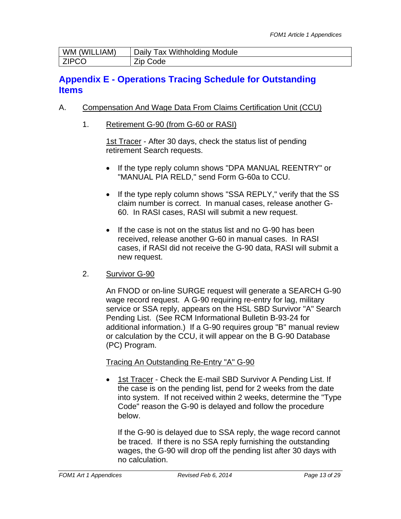| WM (WILLIAM) | Daily Tax Withholding Module |
|--------------|------------------------------|
| <b>ZIPCO</b> | Zip (<br>Code                |

# **Appendix E - Operations Tracing Schedule for Outstanding Items**

#### A. Compensation And Wage Data From Claims Certification Unit (CCU)

1. Retirement G-90 (from G-60 or RASI)

1st Tracer - After 30 days, check the status list of pending retirement Search requests.

- If the type reply column shows "DPA MANUAL REENTRY" or "MANUAL PIA RELD," send Form G-60a to CCU.
- If the type reply column shows "SSA REPLY," verify that the SS claim number is correct. In manual cases, release another G-60. In RASI cases, RASI will submit a new request.
- If the case is not on the status list and no G-90 has been received, release another G-60 in manual cases. In RASI cases, if RASI did not receive the G-90 data, RASI will submit a new request.

#### 2. Survivor G-90

An FNOD or on-line SURGE request will generate a SEARCH G-90 wage record request. A G-90 requiring re-entry for lag, military service or SSA reply, appears on the HSL SBD Survivor "A" Search Pending List. (See RCM Informational Bulletin B-93-24 for additional information.) If a G-90 requires group "B" manual review or calculation by the CCU, it will appear on the B G-90 Database (PC) Program.

#### Tracing An Outstanding Re-Entry "A" G-90

• 1st Tracer - Check the E-mail SBD Survivor A Pending List. If the case is on the pending list, pend for 2 weeks from the date into system. If not received within 2 weeks, determine the "Type Code" reason the G-90 is delayed and follow the procedure below.

If the G-90 is delayed due to SSA reply, the wage record cannot be traced. If there is no SSA reply furnishing the outstanding wages, the G-90 will drop off the pending list after 30 days with no calculation.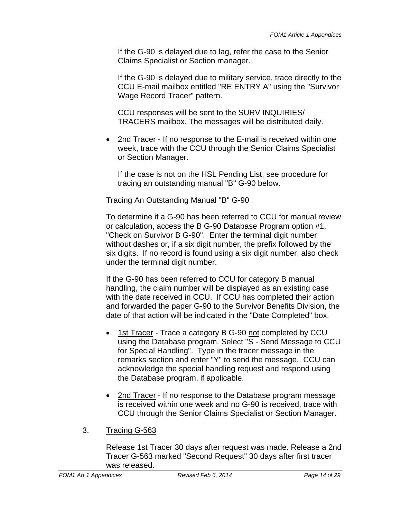If the G-90 is delayed due to lag, refer the case to the Senior Claims Specialist or Section manager.

If the G-90 is delayed due to military service, trace directly to the CCU E-mail mailbox entitled "RE ENTRY A" using the "Survivor Wage Record Tracer" pattern.

CCU responses will be sent to the SURV INQUIRIES/ TRACERS mailbox. The messages will be distributed daily.

 2nd Tracer - If no response to the E-mail is received within one week, trace with the CCU through the Senior Claims Specialist or Section Manager.

If the case is not on the HSL Pending List, see procedure for tracing an outstanding manual "B" G-90 below.

#### Tracing An Outstanding Manual "B" G-90

To determine if a G-90 has been referred to CCU for manual review or calculation, access the B G-90 Database Program option #1, "Check on Survivor B G-90". Enter the terminal digit number without dashes or, if a six digit number, the prefix followed by the six digits. If no record is found using a six digit number, also check under the terminal digit number.

If the G-90 has been referred to CCU for category B manual handling, the claim number will be displayed as an existing case with the date received in CCU. If CCU has completed their action and forwarded the paper G-90 to the Survivor Benefits Division, the date of that action will be indicated in the "Date Completed" box.

- 1st Tracer Trace a category B G-90 not completed by CCU using the Database program. Select "S - Send Message to CCU for Special Handling". Type in the tracer message in the remarks section and enter "Y" to send the message. CCU can acknowledge the special handling request and respond using the Database program, if applicable.
- 2nd Tracer If no response to the Database program message is received within one week and no G-90 is received, trace with CCU through the Senior Claims Specialist or Section Manager.
- 3. Tracing G-563

Release 1st Tracer 30 days after request was made. Release a 2nd Tracer G-563 marked "Second Request" 30 days after first tracer was released.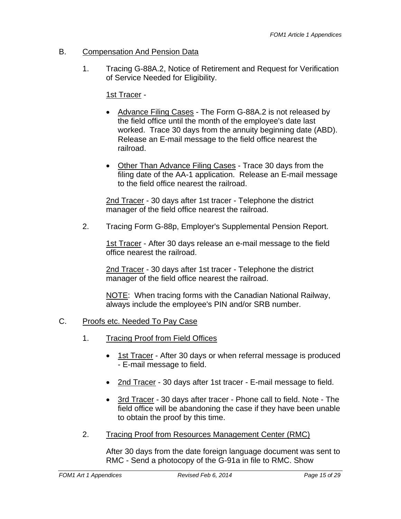#### B. Compensation And Pension Data

1. Tracing G-88A.2, Notice of Retirement and Request for Verification of Service Needed for Eligibility.

1st Tracer -

- Advance Filing Cases The Form G-88A.2 is not released by the field office until the month of the employee's date last worked. Trace 30 days from the annuity beginning date (ABD). Release an E-mail message to the field office nearest the railroad.
- Other Than Advance Filing Cases Trace 30 days from the filing date of the AA-1 application. Release an E-mail message to the field office nearest the railroad.

2nd Tracer - 30 days after 1st tracer - Telephone the district manager of the field office nearest the railroad.

2. Tracing Form G-88p, Employer's Supplemental Pension Report.

1st Tracer - After 30 days release an e-mail message to the field office nearest the railroad.

2nd Tracer - 30 days after 1st tracer - Telephone the district manager of the field office nearest the railroad.

NOTE: When tracing forms with the Canadian National Railway, always include the employee's PIN and/or SRB number.

## C. Proofs etc. Needed To Pay Case

- 1. Tracing Proof from Field Offices
	- 1st Tracer After 30 days or when referral message is produced - E-mail message to field.
	- 2nd Tracer 30 days after 1st tracer E-mail message to field.
	- 3rd Tracer 30 days after tracer Phone call to field. Note The field office will be abandoning the case if they have been unable to obtain the proof by this time.
- 2. Tracing Proof from Resources Management Center (RMC)

After 30 days from the date foreign language document was sent to RMC - Send a photocopy of the G-91a in file to RMC. Show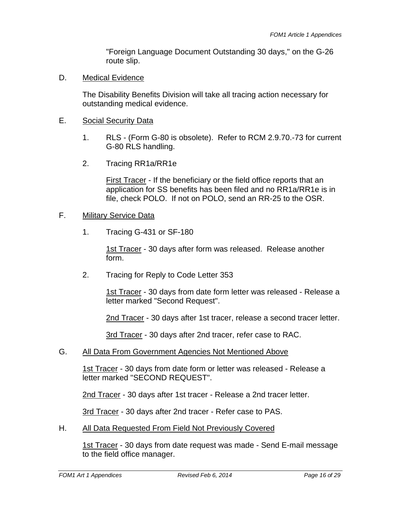"Foreign Language Document Outstanding 30 days," on the G-26 route slip.

D. Medical Evidence

The Disability Benefits Division will take all tracing action necessary for outstanding medical evidence.

- E. Social Security Data
	- 1. RLS (Form G-80 is obsolete). Refer to RCM 2.9.70.-73 for current G-80 RLS handling.
	- 2. Tracing RR1a/RR1e

First Tracer - If the beneficiary or the field office reports that an application for SS benefits has been filed and no RR1a/RR1e is in file, check POLO. If not on POLO, send an RR-25 to the OSR.

#### F. Military Service Data

1. Tracing G-431 or SF-180

1st Tracer - 30 days after form was released. Release another form.

2. Tracing for Reply to Code Letter 353

1st Tracer - 30 days from date form letter was released - Release a letter marked "Second Request".

2nd Tracer - 30 days after 1st tracer, release a second tracer letter.

3rd Tracer - 30 days after 2nd tracer, refer case to RAC.

G. All Data From Government Agencies Not Mentioned Above

1st Tracer - 30 days from date form or letter was released - Release a letter marked "SECOND REQUEST".

2nd Tracer - 30 days after 1st tracer - Release a 2nd tracer letter.

3rd Tracer - 30 days after 2nd tracer - Refer case to PAS.

H. All Data Requested From Field Not Previously Covered

1st Tracer - 30 days from date request was made - Send E-mail message to the field office manager.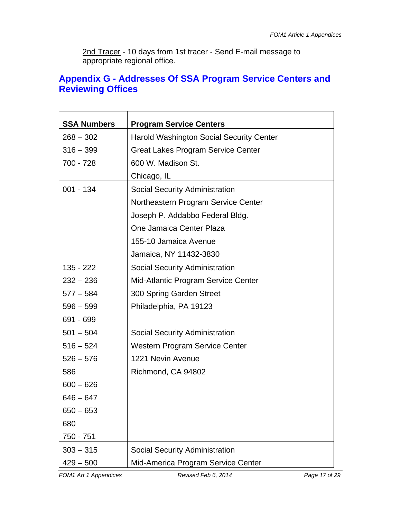2nd Tracer - 10 days from 1st tracer - Send E-mail message to appropriate regional office.

# **Appendix G - Addresses Of SSA Program Service Centers and Reviewing Offices**

| <b>SSA Numbers</b> | <b>Program Service Centers</b>                  |
|--------------------|-------------------------------------------------|
| $268 - 302$        | <b>Harold Washington Social Security Center</b> |
| $316 - 399$        | <b>Great Lakes Program Service Center</b>       |
| 700 - 728          | 600 W. Madison St.                              |
|                    | Chicago, IL                                     |
| $001 - 134$        | <b>Social Security Administration</b>           |
|                    | Northeastern Program Service Center             |
|                    | Joseph P. Addabbo Federal Bldg.                 |
|                    | One Jamaica Center Plaza                        |
|                    | 155-10 Jamaica Avenue                           |
|                    | Jamaica, NY 11432-3830                          |
| $135 - 222$        | Social Security Administration                  |
| $232 - 236$        | Mid-Atlantic Program Service Center             |
| $577 - 584$        | 300 Spring Garden Street                        |
| $596 - 599$        | Philadelphia, PA 19123                          |
| 691 - 699          |                                                 |
| $501 - 504$        | <b>Social Security Administration</b>           |
| $516 - 524$        | <b>Western Program Service Center</b>           |
| $526 - 576$        | 1221 Nevin Avenue                               |
| 586                | Richmond, CA 94802                              |
| $600 - 626$        |                                                 |
| $646 - 647$        |                                                 |
| $650 - 653$        |                                                 |
| 680                |                                                 |
| 750 - 751          |                                                 |
| $303 - 315$        | Social Security Administration                  |
| $429 - 500$        | Mid-America Program Service Center              |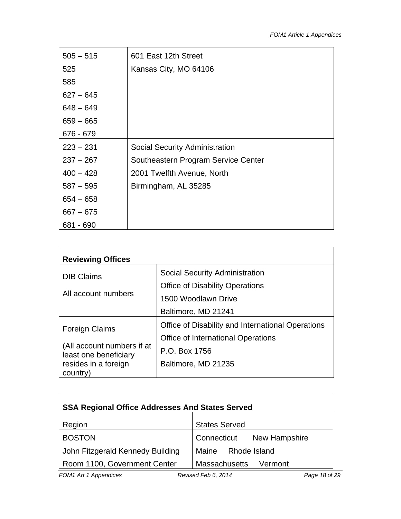| $505 - 515$ | 601 East 12th Street                |
|-------------|-------------------------------------|
| 525         | Kansas City, MO 64106               |
| 585         |                                     |
| $627 - 645$ |                                     |
| $648 - 649$ |                                     |
| $659 - 665$ |                                     |
| 676 - 679   |                                     |
| $223 - 231$ | Social Security Administration      |
| $237 - 267$ | Southeastern Program Service Center |
| $400 - 428$ | 2001 Twelfth Avenue, North          |
| $587 - 595$ | Birmingham, AL 35285                |
| $654 - 658$ |                                     |
| $667 - 675$ |                                     |
| 681 - 690   |                                     |

| <b>Reviewing Offices</b>                            |                                                   |  |
|-----------------------------------------------------|---------------------------------------------------|--|
| <b>DIB Claims</b>                                   | Social Security Administration                    |  |
|                                                     | <b>Office of Disability Operations</b>            |  |
| All account numbers                                 | 1500 Woodlawn Drive                               |  |
|                                                     | Baltimore, MD 21241                               |  |
| <b>Foreign Claims</b>                               | Office of Disability and International Operations |  |
|                                                     | <b>Office of International Operations</b>         |  |
| (All account numbers if at<br>least one beneficiary | P.O. Box 1756                                     |  |
| resides in a foreign                                | Baltimore, MD 21235                               |  |
| country)                                            |                                                   |  |

| <b>SSA Regional Office Addresses And States Served</b> |                           |  |
|--------------------------------------------------------|---------------------------|--|
| Region                                                 | <b>States Served</b>      |  |
| <b>BOSTON</b>                                          | Connecticut New Hampshire |  |
| John Fitzgerald Kennedy Building                       | Maine Rhode Island        |  |
| Room 1100, Government Center                           | Massachusetts<br>Vermont  |  |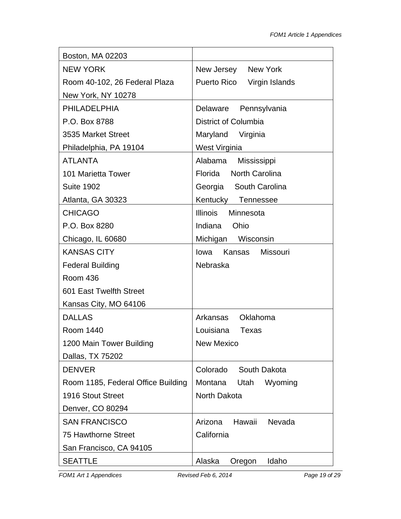| Boston, MA 02203                   |                              |
|------------------------------------|------------------------------|
| <b>NEW YORK</b>                    | New Jersey New York          |
| Room 40-102, 26 Federal Plaza      | Puerto Rico Virgin Islands   |
| New York, NY 10278                 |                              |
| <b>PHILADELPHIA</b>                | Delaware Pennsylvania        |
| P.O. Box 8788                      | District of Columbia         |
| 3535 Market Street                 | Maryland Virginia            |
| Philadelphia, PA 19104             | West Virginia                |
| <b>ATLANTA</b>                     | Alabama Mississippi          |
| 101 Marietta Tower                 | Florida North Carolina       |
| <b>Suite 1902</b>                  | Georgia South Carolina       |
| Atlanta, GA 30323                  | Kentucky Tennessee           |
| <b>CHICAGO</b>                     | <b>Illinois</b><br>Minnesota |
| P.O. Box 8280                      | Indiana<br>Ohio              |
| Chicago, IL 60680                  | Michigan Wisconsin           |
| <b>KANSAS CITY</b>                 | Kansas Missouri<br>Iowa      |
| <b>Federal Building</b>            | Nebraska                     |
| Room 436                           |                              |
| 601 East Twelfth Street            |                              |
| Kansas City, MO 64106              |                              |
| <b>DALLAS</b>                      | Arkansas Oklahoma            |
| Room 1440                          | Louisiana Texas              |
| 1200 Main Tower Building           | New Mexico                   |
| Dallas, TX 75202                   |                              |
| <b>DENVER</b>                      | Colorado<br>South Dakota     |
| Room 1185, Federal Office Building | Montana<br>Utah<br>Wyoming   |
| 1916 Stout Street                  | North Dakota                 |
| Denver, CO 80294                   |                              |
| <b>SAN FRANCISCO</b>               | Arizona<br>Hawaii<br>Nevada  |
| <b>75 Hawthorne Street</b>         | California                   |
| San Francisco, CA 94105            |                              |
| <b>SEATTLE</b>                     | Alaska<br>Oregon<br>Idaho    |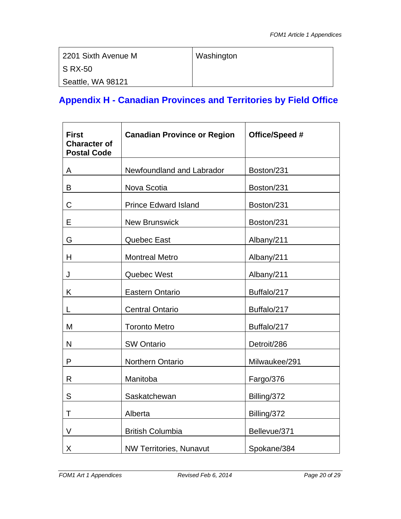| 2201 Sixth Avenue M | Washington |
|---------------------|------------|
| <b>S RX-50</b>      |            |
| Seattle, WA 98121   |            |

# **Appendix H - Canadian Provinces and Territories by Field Office**

| <b>First</b><br><b>Character of</b><br><b>Postal Code</b> | <b>Canadian Province or Region</b> | Office/Speed # |
|-----------------------------------------------------------|------------------------------------|----------------|
| A                                                         | Newfoundland and Labrador          | Boston/231     |
| B                                                         | Nova Scotia                        | Boston/231     |
| C                                                         | <b>Prince Edward Island</b>        | Boston/231     |
| E                                                         | <b>New Brunswick</b>               | Boston/231     |
| G                                                         | <b>Quebec East</b>                 | Albany/211     |
| H                                                         | <b>Montreal Metro</b>              | Albany/211     |
| J                                                         | Quebec West                        | Albany/211     |
| K                                                         | <b>Eastern Ontario</b>             | Buffalo/217    |
| L                                                         | <b>Central Ontario</b>             | Buffalo/217    |
| M                                                         | <b>Toronto Metro</b>               | Buffalo/217    |
| N                                                         | <b>SW Ontario</b>                  | Detroit/286    |
| P                                                         | Northern Ontario                   | Milwaukee/291  |
| R                                                         | Manitoba                           | Fargo/376      |
| S                                                         | Saskatchewan                       | Billing/372    |
| T                                                         | Alberta                            | Billing/372    |
| V                                                         | <b>British Columbia</b>            | Bellevue/371   |
| X                                                         | <b>NW Territories, Nunavut</b>     | Spokane/384    |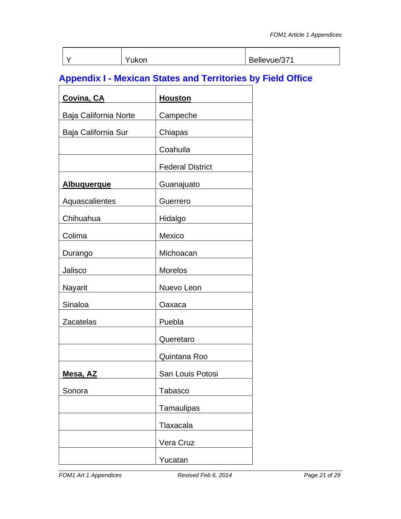|  | Yukon | Bellevue/371 |
|--|-------|--------------|

# **Appendix I - Mexican States and Territories by Field Office**

| <b>Covina, CA</b>     | <b>Houston</b>          |
|-----------------------|-------------------------|
| Baja California Norte | Campeche                |
| Baja California Sur   | Chiapas                 |
|                       | Coahuila                |
|                       | <b>Federal District</b> |
| <b>Albuquerque</b>    | Guanajuato              |
| Aquascalientes        | Guerrero                |
| Chihuahua             | Hidalgo                 |
| Colima                | Mexico                  |
| Durango               | Michoacan               |
| Jalisco               | <b>Morelos</b>          |
| Nayarit               | Nuevo Leon              |
| Sinaloa               | Oaxaca                  |
| <b>Zacatelas</b>      | Puebla                  |
|                       | Queretaro               |
|                       | Quintana Roo            |
| <u>Mesa, AZ</u>       | San Louis Potosi        |
| Sonora                | <b>Tabasco</b>          |
|                       | Tamaulipas              |
|                       | Tlaxacala               |
|                       | Vera Cruz               |
|                       | Yucatan                 |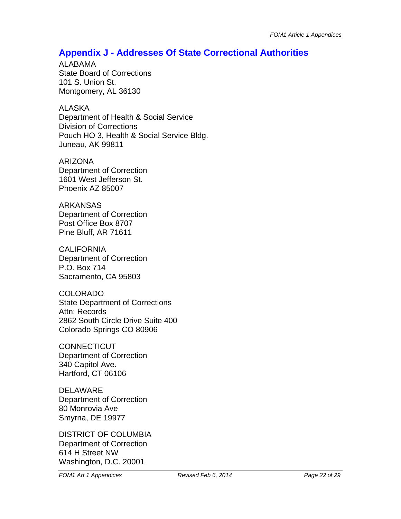## **Appendix J - Addresses Of State Correctional Authorities**

ALABAMA State Board of Corrections 101 S. Union St. Montgomery, AL 36130

ALASKA

Department of Health & Social Service Division of Corrections Pouch HO 3, Health & Social Service Bldg. Juneau, AK 99811

ARIZONA Department of Correction 1601 West Jefferson St. Phoenix AZ 85007

ARKANSAS Department of Correction Post Office Box 8707 Pine Bluff, AR 71611

**CALIFORNIA** Department of Correction P.O. Box 714 Sacramento, CA 95803

COLORADO State Department of Corrections Attn: Records 2862 South Circle Drive Suite 400 Colorado Springs CO 80906

**CONNECTICUT** Department of Correction 340 Capitol Ave. Hartford, CT 06106

DELAWARE Department of Correction 80 Monrovia Ave Smyrna, DE 19977

DISTRICT OF COLUMBIA Department of Correction 614 H Street NW Washington, D.C. 20001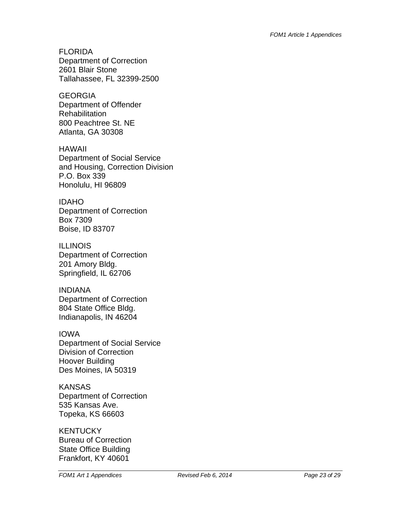FLORIDA Department of Correction 2601 Blair Stone Tallahassee, FL 32399-2500

**GEORGIA** Department of Offender **Rehabilitation** 800 Peachtree St. NE Atlanta, GA 30308

HAWAII Department of Social Service and Housing, Correction Division P.O. Box 339 Honolulu, HI 96809

IDAHO Department of Correction Box 7309 Boise, ID 83707

**ILLINOIS** Department of Correction 201 Amory Bldg. Springfield, IL 62706

INDIANA Department of Correction 804 State Office Bldg. Indianapolis, IN 46204

IOWA Department of Social Service Division of Correction Hoover Building Des Moines, IA 50319

**KANSAS** Department of Correction 535 Kansas Ave. Topeka, KS 66603

**KENTUCKY** Bureau of Correction State Office Building Frankfort, KY 40601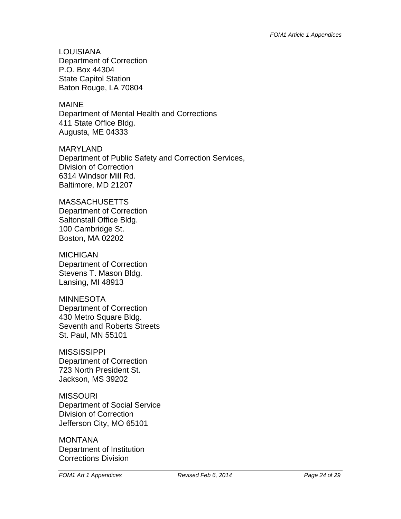LOUISIANA Department of Correction P.O. Box 44304 State Capitol Station Baton Rouge, LA 70804

MAINE

Department of Mental Health and Corrections 411 State Office Bldg. Augusta, ME 04333

MARYLAND Department of Public Safety and Correction Services, Division of Correction 6314 Windsor Mill Rd. Baltimore, MD 21207

**MASSACHUSETTS** Department of Correction Saltonstall Office Bldg. 100 Cambridge St. Boston, MA 02202

MICHIGAN Department of Correction Stevens T. Mason Bldg. Lansing, MI 48913

MINNESOTA Department of Correction 430 Metro Square Bldg. Seventh and Roberts Streets St. Paul, MN 55101

**MISSISSIPPI** Department of Correction 723 North President St. Jackson, MS 39202

**MISSOURI** Department of Social Service Division of Correction Jefferson City, MO 65101

MONTANA Department of Institution Corrections Division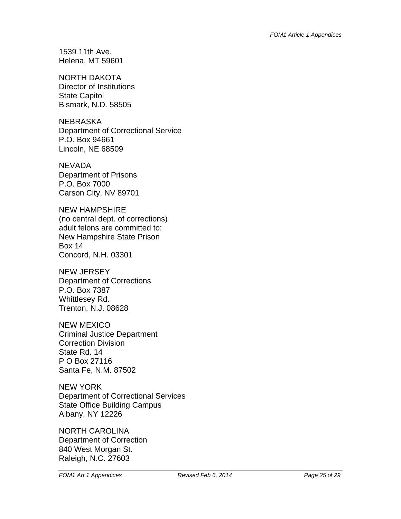1539 11th Ave. Helena, MT 59601

NORTH DAKOTA Director of Institutions State Capitol Bismark, N.D. 58505

NEBRASKA Department of Correctional Service P.O. Box 94661 Lincoln, NE 68509

**NEVADA** Department of Prisons P.O. Box 7000 Carson City, NV 89701

NEW HAMPSHIRE (no central dept. of corrections) adult felons are committed to: New Hampshire State Prison Box 14 Concord, N.H. 03301

NEW JERSEY Department of Corrections P.O. Box 7387 Whittlesey Rd. Trenton, N.J. 08628

NEW MEXICO Criminal Justice Department Correction Division State Rd. 14 P O Box 27116 Santa Fe, N.M. 87502

NEW YORK Department of Correctional Services State Office Building Campus Albany, NY 12226

NORTH CAROLINA Department of Correction 840 West Morgan St. Raleigh, N.C. 27603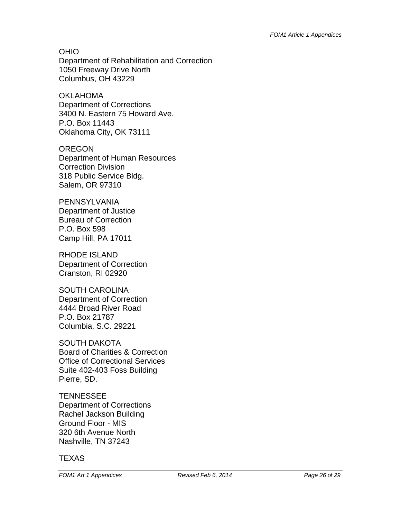OHIO Department of Rehabilitation and Correction 1050 Freeway Drive North Columbus, OH 43229

OKLAHOMA Department of Corrections 3400 N. Eastern 75 Howard Ave. P.O. Box 11443 Oklahoma City, OK 73111

OREGON Department of Human Resources Correction Division 318 Public Service Bldg. Salem, OR 97310

PENNSYLVANIA Department of Justice Bureau of Correction P.O. Box 598 Camp Hill, PA 17011

RHODE ISLAND Department of Correction Cranston, RI 02920

SOUTH CAROLINA Department of Correction 4444 Broad River Road P.O. Box 21787 Columbia, S.C. 29221

SOUTH DAKOTA Board of Charities & Correction Office of Correctional Services Suite 402-403 Foss Building Pierre, SD.

**TENNESSEE** Department of Corrections Rachel Jackson Building Ground Floor - MIS 320 6th Avenue North Nashville, TN 37243

**TEXAS** 

*FOM1 Art 1 Appendices Revised Feb 6, 2014* **<b>***Page 26 of 29 Page 26 of 29*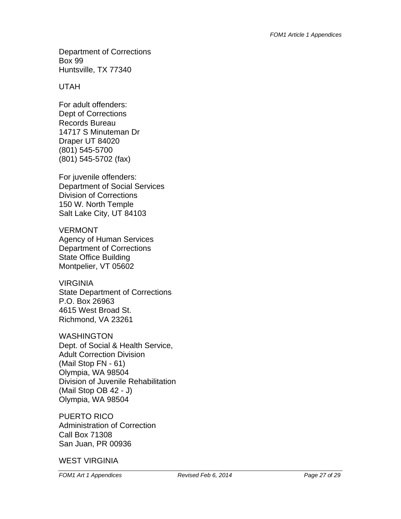Department of Corrections Box 99 Huntsville, TX 77340

#### UTAH

For adult offenders: Dept of Corrections Records Bureau 14717 S Minuteman Dr Draper UT 84020 (801) 545-5700 (801) 545-5702 (fax)

For juvenile offenders: Department of Social Services Division of Corrections 150 W. North Temple Salt Lake City, UT 84103

VERMONT Agency of Human Services Department of Corrections State Office Building Montpelier, VT 05602

VIRGINIA State Department of Corrections P.O. Box 26963 4615 West Broad St. Richmond, VA 23261

WASHINGTON Dept. of Social & Health Service, Adult Correction Division (Mail Stop FN - 61) Olympia, WA 98504 Division of Juvenile Rehabilitation (Mail Stop OB 42 - J) Olympia, WA 98504

PUERTO RICO Administration of Correction Call Box 71308 San Juan, PR 00936

WEST VIRGINIA

*FOM1 Art 1 Appendices Revised Feb 6, 2014* **<b>***Page 27 of 29 Page 27 of 29*